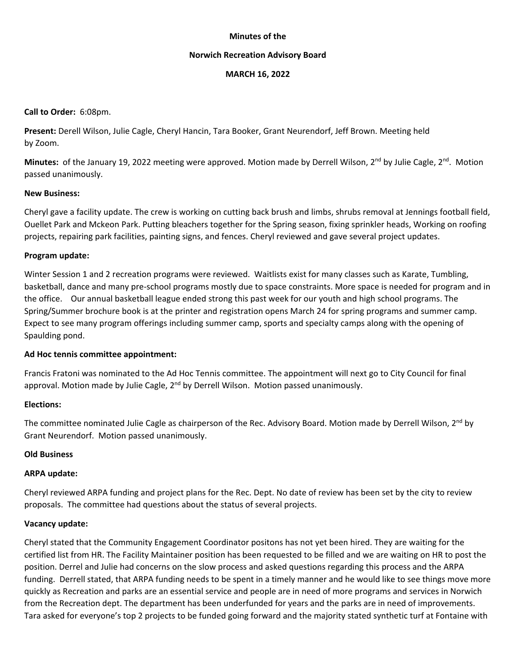#### **Minutes of the**

#### **Norwich Recreation Advisory Board**

#### **MARCH 16, 2022**

#### **Call to Order:** 6:08pm.

**Present:** Derell Wilson, Julie Cagle, Cheryl Hancin, Tara Booker, Grant Neurendorf, Jeff Brown. Meeting held by Zoom.

Minutes: of the January 19, 2022 meeting were approved. Motion made by Derrell Wilson, 2<sup>nd</sup> by Julie Cagle, 2<sup>nd</sup>. Motion passed unanimously.

### **New Business:**

Cheryl gave a facility update. The crew is working on cutting back brush and limbs, shrubs removal at Jennings football field, Ouellet Park and Mckeon Park. Putting bleachers together for the Spring season, fixing sprinkler heads, Working on roofing projects, repairing park facilities, painting signs, and fences. Cheryl reviewed and gave several project updates.

### **Program update:**

Winter Session 1 and 2 recreation programs were reviewed. Waitlists exist for many classes such as Karate, Tumbling, basketball, dance and many pre‐school programs mostly due to space constraints. More space is needed for program and in the office. Our annual basketball league ended strong this past week for our youth and high school programs. The Spring/Summer brochure book is at the printer and registration opens March 24 for spring programs and summer camp. Expect to see many program offerings including summer camp, sports and specialty camps along with the opening of Spaulding pond.

# **Ad Hoc tennis committee appointment:**

Francis Fratoni was nominated to the Ad Hoc Tennis committee. The appointment will next go to City Council for final approval. Motion made by Julie Cagle,  $2<sup>nd</sup>$  by Derrell Wilson. Motion passed unanimously.

# **Elections:**

The committee nominated Julie Cagle as chairperson of the Rec. Advisory Board. Motion made by Derrell Wilson,  $2^{nd}$  by Grant Neurendorf. Motion passed unanimously.

#### **Old Business**

# **ARPA update:**

Cheryl reviewed ARPA funding and project plans for the Rec. Dept. No date of review has been set by the city to review proposals. The committee had questions about the status of several projects.

# **Vacancy update:**

Cheryl stated that the Community Engagement Coordinator positons has not yet been hired. They are waiting for the certified list from HR. The Facility Maintainer position has been requested to be filled and we are waiting on HR to post the position. Derrel and Julie had concerns on the slow process and asked questions regarding this process and the ARPA funding. Derrell stated, that ARPA funding needs to be spent in a timely manner and he would like to see things move more quickly as Recreation and parks are an essential service and people are in need of more programs and services in Norwich from the Recreation dept. The department has been underfunded for years and the parks are in need of improvements. Tara asked for everyone's top 2 projects to be funded going forward and the majority stated synthetic turf at Fontaine with